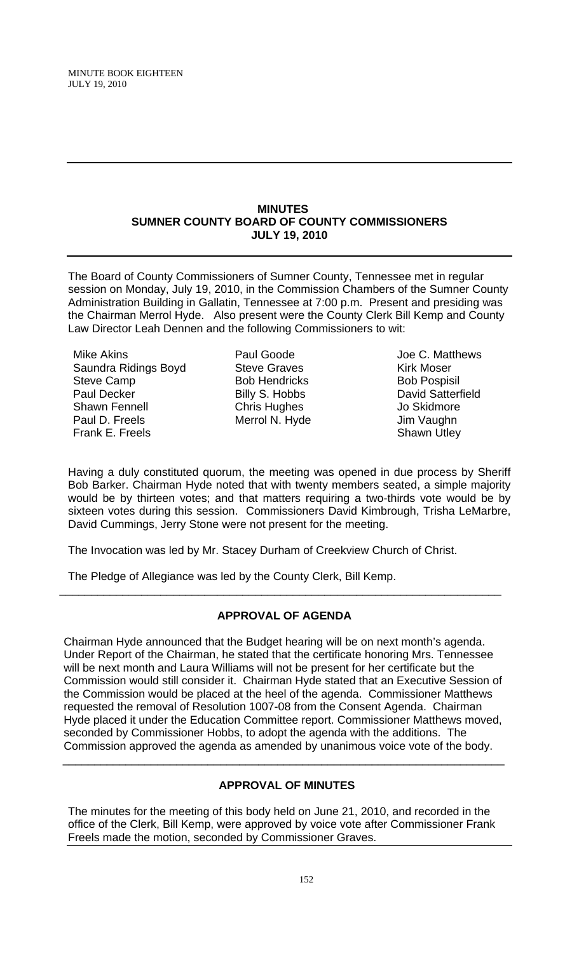### **MINUTES SUMNER COUNTY BOARD OF COUNTY COMMISSIONERS JULY 19, 2010**

The Board of County Commissioners of Sumner County, Tennessee met in regular session on Monday, July 19, 2010, in the Commission Chambers of the Sumner County Administration Building in Gallatin, Tennessee at 7:00 p.m. Present and presiding was the Chairman Merrol Hyde. Also present were the County Clerk Bill Kemp and County Law Director Leah Dennen and the following Commissioners to wit:

Mike Akins Saundra Ridings Boyd Steve Camp Paul Decker Shawn Fennell Paul D. Freels Frank E. Freels

Paul Goode Steve Graves Bob Hendricks Billy S. Hobbs Chris Hughes Merrol N. Hyde

Joe C. Matthews Kirk Moser Bob Pospisil David Satterfield Jo Skidmore Jim Vaughn Shawn Utley

Having a duly constituted quorum, the meeting was opened in due process by Sheriff Bob Barker. Chairman Hyde noted that with twenty members seated, a simple majority would be by thirteen votes; and that matters requiring a two-thirds vote would be by sixteen votes during this session. Commissioners David Kimbrough, Trisha LeMarbre, David Cummings, Jerry Stone were not present for the meeting.

The Invocation was led by Mr. Stacey Durham of Creekview Church of Christ.

The Pledge of Allegiance was led by the County Clerk, Bill Kemp.

# **APPROVAL OF AGENDA**

\_\_\_\_\_\_\_\_\_\_\_\_\_\_\_\_\_\_\_\_\_\_\_\_\_\_\_\_\_\_\_\_\_\_\_\_\_\_\_\_\_\_\_\_\_\_\_\_\_\_\_\_\_\_\_\_\_\_\_\_\_\_\_\_\_\_\_\_\_\_

 Chairman Hyde announced that the Budget hearing will be on next month's agenda. Under Report of the Chairman, he stated that the certificate honoring Mrs. Tennessee will be next month and Laura Williams will not be present for her certificate but the Commission would still consider it. Chairman Hyde stated that an Executive Session of the Commission would be placed at the heel of the agenda. Commissioner Matthews requested the removal of Resolution 1007-08 from the Consent Agenda. Chairman Hyde placed it under the Education Committee report. Commissioner Matthews moved, seconded by Commissioner Hobbs, to adopt the agenda with the additions. The Commission approved the agenda as amended by unanimous voice vote of the body.

# **APPROVAL OF MINUTES**

\_\_\_\_\_\_\_\_\_\_\_\_\_\_\_\_\_\_\_\_\_\_\_\_\_\_\_\_\_\_\_\_\_\_\_\_\_\_\_\_\_\_\_\_\_\_\_\_\_\_\_\_\_\_\_\_\_\_\_\_\_\_\_\_\_\_\_\_\_\_

The minutes for the meeting of this body held on June 21, 2010, and recorded in the office of the Clerk, Bill Kemp, were approved by voice vote after Commissioner Frank Freels made the motion, seconded by Commissioner Graves.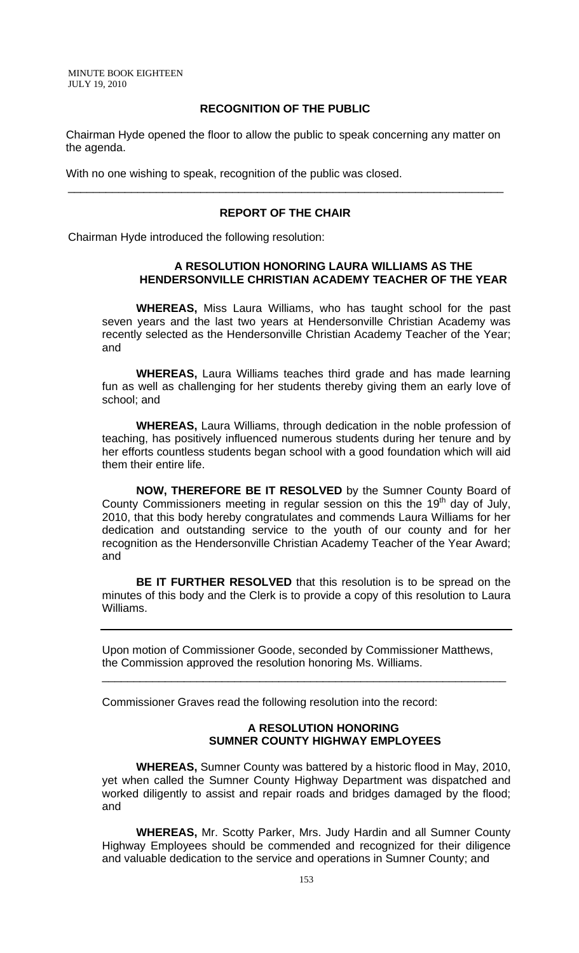MINUTE BOOK EIGHTEEN JULY 19, 2010

### **RECOGNITION OF THE PUBLIC**

 Chairman Hyde opened the floor to allow the public to speak concerning any matter on the agenda.

With no one wishing to speak, recognition of the public was closed.

### **REPORT OF THE CHAIR**

\_\_\_\_\_\_\_\_\_\_\_\_\_\_\_\_\_\_\_\_\_\_\_\_\_\_\_\_\_\_\_\_\_\_\_\_\_\_\_\_\_\_\_\_\_\_\_\_\_\_\_\_\_\_\_\_\_\_\_\_\_\_\_\_\_\_\_\_\_

Chairman Hyde introduced the following resolution:

### **A RESOLUTION HONORING LAURA WILLIAMS AS THE HENDERSONVILLE CHRISTIAN ACADEMY TEACHER OF THE YEAR**

 **WHEREAS,** Miss Laura Williams, who has taught school for the past seven years and the last two years at Hendersonville Christian Academy was recently selected as the Hendersonville Christian Academy Teacher of the Year; and

**WHEREAS,** Laura Williams teaches third grade and has made learning fun as well as challenging for her students thereby giving them an early love of school; and

**WHEREAS,** Laura Williams, through dedication in the noble profession of teaching, has positively influenced numerous students during her tenure and by her efforts countless students began school with a good foundation which will aid them their entire life.

**NOW, THEREFORE BE IT RESOLVED** by the Sumner County Board of County Commissioners meeting in regular session on this the 19<sup>th</sup> day of July, 2010, that this body hereby congratulates and commends Laura Williams for her dedication and outstanding service to the youth of our county and for her recognition as the Hendersonville Christian Academy Teacher of the Year Award; and

**BE IT FURTHER RESOLVED** that this resolution is to be spread on the minutes of this body and the Clerk is to provide a copy of this resolution to Laura Williams.

Upon motion of Commissioner Goode, seconded by Commissioner Matthews, the Commission approved the resolution honoring Ms. Williams.

\_\_\_\_\_\_\_\_\_\_\_\_\_\_\_\_\_\_\_\_\_\_\_\_\_\_\_\_\_\_\_\_\_\_\_\_\_\_\_\_\_\_\_\_\_\_\_\_\_\_\_\_\_\_\_\_\_\_\_\_\_\_\_\_

Commissioner Graves read the following resolution into the record:

#### **A RESOLUTION HONORING SUMNER COUNTY HIGHWAY EMPLOYEES**

**WHEREAS,** Sumner County was battered by a historic flood in May, 2010, yet when called the Sumner County Highway Department was dispatched and worked diligently to assist and repair roads and bridges damaged by the flood; and

 **WHEREAS,** Mr. Scotty Parker, Mrs. Judy Hardin and all Sumner County Highway Employees should be commended and recognized for their diligence and valuable dedication to the service and operations in Sumner County; and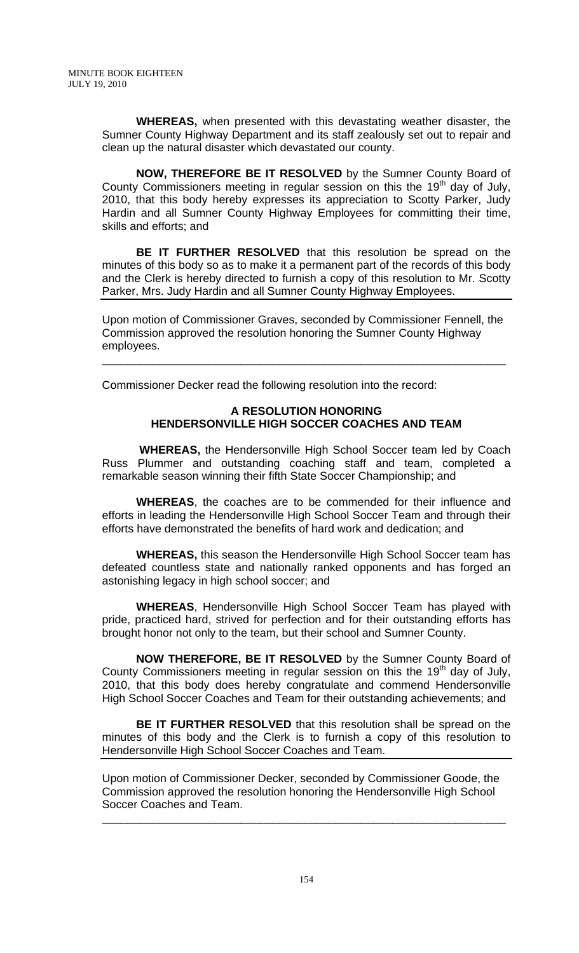**WHEREAS,** when presented with this devastating weather disaster, the Sumner County Highway Department and its staff zealously set out to repair and clean up the natural disaster which devastated our county.

**NOW, THEREFORE BE IT RESOLVED** by the Sumner County Board of County Commissioners meeting in regular session on this the  $19<sup>th</sup>$  day of July, 2010, that this body hereby expresses its appreciation to Scotty Parker, Judy Hardin and all Sumner County Highway Employees for committing their time, skills and efforts; and

**BE IT FURTHER RESOLVED** that this resolution be spread on the minutes of this body so as to make it a permanent part of the records of this body and the Clerk is hereby directed to furnish a copy of this resolution to Mr. Scotty Parker, Mrs. Judy Hardin and all Sumner County Highway Employees.

Upon motion of Commissioner Graves, seconded by Commissioner Fennell, the Commission approved the resolution honoring the Sumner County Highway employees.

\_\_\_\_\_\_\_\_\_\_\_\_\_\_\_\_\_\_\_\_\_\_\_\_\_\_\_\_\_\_\_\_\_\_\_\_\_\_\_\_\_\_\_\_\_\_\_\_\_\_\_\_\_\_\_\_\_\_\_\_\_\_\_\_

Commissioner Decker read the following resolution into the record:

# **A RESOLUTION HONORING HENDERSONVILLE HIGH SOCCER COACHES AND TEAM**

 **WHEREAS,** the Hendersonville High School Soccer team led by Coach Russ Plummer and outstanding coaching staff and team, completed a remarkable season winning their fifth State Soccer Championship; and

**WHEREAS**, the coaches are to be commended for their influence and efforts in leading the Hendersonville High School Soccer Team and through their efforts have demonstrated the benefits of hard work and dedication; and

**WHEREAS,** this season the Hendersonville High School Soccer team has defeated countless state and nationally ranked opponents and has forged an astonishing legacy in high school soccer; and

**WHEREAS**, Hendersonville High School Soccer Team has played with pride, practiced hard, strived for perfection and for their outstanding efforts has brought honor not only to the team, but their school and Sumner County.

**NOW THEREFORE, BE IT RESOLVED** by the Sumner County Board of County Commissioners meeting in regular session on this the 19<sup>th</sup> day of July, 2010, that this body does hereby congratulate and commend Hendersonville High School Soccer Coaches and Team for their outstanding achievements; and

**BE IT FURTHER RESOLVED** that this resolution shall be spread on the minutes of this body and the Clerk is to furnish a copy of this resolution to Hendersonville High School Soccer Coaches and Team.

Upon motion of Commissioner Decker, seconded by Commissioner Goode, the Commission approved the resolution honoring the Hendersonville High School Soccer Coaches and Team.

\_\_\_\_\_\_\_\_\_\_\_\_\_\_\_\_\_\_\_\_\_\_\_\_\_\_\_\_\_\_\_\_\_\_\_\_\_\_\_\_\_\_\_\_\_\_\_\_\_\_\_\_\_\_\_\_\_\_\_\_\_\_\_\_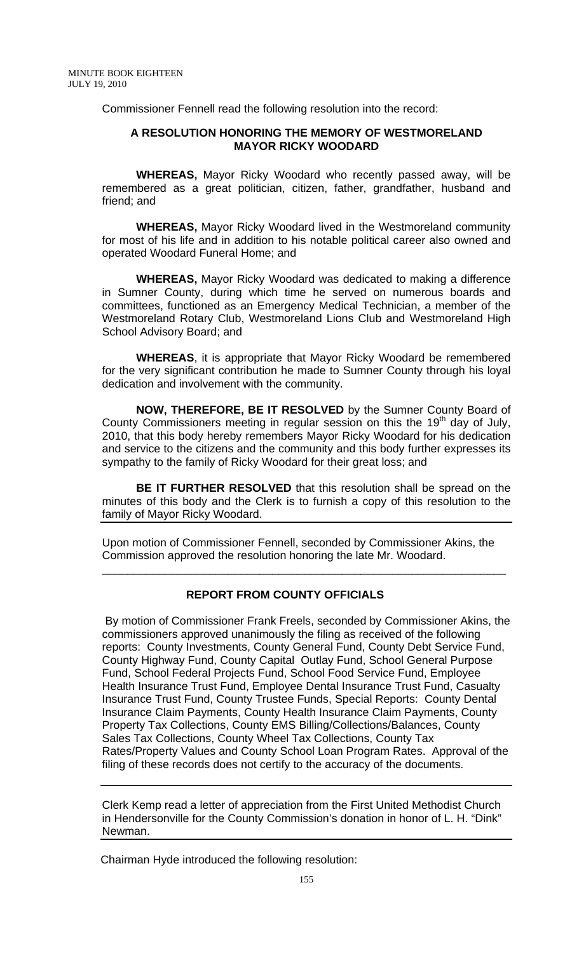Commissioner Fennell read the following resolution into the record:

## **A RESOLUTION HONORING THE MEMORY OF WESTMORELAND MAYOR RICKY WOODARD**

 **WHEREAS,** Mayor Ricky Woodard who recently passed away, will be remembered as a great politician, citizen, father, grandfather, husband and friend; and

**WHEREAS,** Mayor Ricky Woodard lived in the Westmoreland community for most of his life and in addition to his notable political career also owned and operated Woodard Funeral Home; and

**WHEREAS,** Mayor Ricky Woodard was dedicated to making a difference in Sumner County, during which time he served on numerous boards and committees, functioned as an Emergency Medical Technician, a member of the Westmoreland Rotary Club, Westmoreland Lions Club and Westmoreland High School Advisory Board; and

**WHEREAS**, it is appropriate that Mayor Ricky Woodard be remembered for the very significant contribution he made to Sumner County through his loyal dedication and involvement with the community.

**NOW, THEREFORE, BE IT RESOLVED** by the Sumner County Board of County Commissioners meeting in regular session on this the 19<sup>th</sup> day of July, 2010, that this body hereby remembers Mayor Ricky Woodard for his dedication and service to the citizens and the community and this body further expresses its sympathy to the family of Ricky Woodard for their great loss; and

**BE IT FURTHER RESOLVED** that this resolution shall be spread on the minutes of this body and the Clerk is to furnish a copy of this resolution to the family of Mayor Ricky Woodard.

Upon motion of Commissioner Fennell, seconded by Commissioner Akins, the Commission approved the resolution honoring the late Mr. Woodard.

\_\_\_\_\_\_\_\_\_\_\_\_\_\_\_\_\_\_\_\_\_\_\_\_\_\_\_\_\_\_\_\_\_\_\_\_\_\_\_\_\_\_\_\_\_\_\_\_\_\_\_\_\_\_\_\_\_\_\_\_\_\_\_\_

### **REPORT FROM COUNTY OFFICIALS**

 By motion of Commissioner Frank Freels, seconded by Commissioner Akins, the commissioners approved unanimously the filing as received of the following reports: County Investments, County General Fund, County Debt Service Fund, County Highway Fund, County Capital Outlay Fund, School General Purpose Fund, School Federal Projects Fund, School Food Service Fund, Employee Health Insurance Trust Fund, Employee Dental Insurance Trust Fund, Casualty Insurance Trust Fund, County Trustee Funds, Special Reports: County Dental Insurance Claim Payments, County Health Insurance Claim Payments, County Property Tax Collections, County EMS Billing/Collections/Balances, County Sales Tax Collections, County Wheel Tax Collections, County Tax Rates/Property Values and County School Loan Program Rates. Approval of the filing of these records does not certify to the accuracy of the documents.

Clerk Kemp read a letter of appreciation from the First United Methodist Church in Hendersonville for the County Commission's donation in honor of L. H. "Dink" Newman.

Chairman Hyde introduced the following resolution: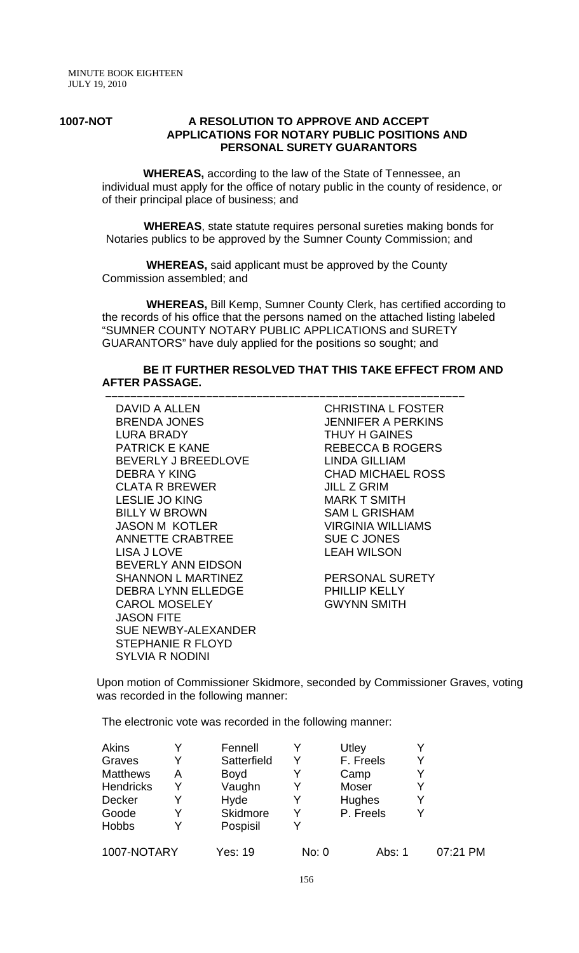### **1007-NOT A RESOLUTION TO APPROVE AND ACCEPT APPLICATIONS FOR NOTARY PUBLIC POSITIONS AND PERSONAL SURETY GUARANTORS**

 **WHEREAS,** according to the law of the State of Tennessee, an individual must apply for the office of notary public in the county of residence, or of their principal place of business; and

 **WHEREAS**, state statute requires personal sureties making bonds for Notaries publics to be approved by the Sumner County Commission; and

 **WHEREAS,** said applicant must be approved by the County Commission assembled; and

 **–––––––––––––––––––––––––––––––––––––––––––––––––––––––––**

 **WHEREAS,** Bill Kemp, Sumner County Clerk, has certified according to the records of his office that the persons named on the attached listing labeled "SUMNER COUNTY NOTARY PUBLIC APPLICATIONS and SURETY GUARANTORS" have duly applied for the positions so sought; and

# **BE IT FURTHER RESOLVED THAT THIS TAKE EFFECT FROM AND AFTER PASSAGE.**

DAVID A ALLEN BRENDA JONES LURA BRADY PATRICK E KANE BEVERLY J BREEDLOVE DEBRA Y KING CLATA R BREWER LESLIE JO KING BILLY W BROWN JASON M KOTLER ANNETTE CRABTREE LISA J LOVE BEVERLY ANN EIDSON SHANNON L MARTINEZ DEBRA LYNN ELLEDGE CAROL MOSELEY JASON FITE SUE NEWBY-ALEXANDER STEPHANIE R FLOYD SYLVIA R NODINI

CHRISTINA L FOSTER JENNIFER A PERKINS THUY H GAINES REBECCA B ROGERS LINDA GILLIAM CHAD MICHAEL ROSS JILL Z GRIM MARK T SMITH SAM L GRISHAM VIRGINIA WILLIAMS SUE C JONES LEAH WILSON

PERSONAL SURETY PHILLIP KELLY GWYNN SMITH

Upon motion of Commissioner Skidmore, seconded by Commissioner Graves, voting was recorded in the following manner:

The electronic vote was recorded in the following manner:

| Akins            |   | Fennell     |       | Utley     |   |          |
|------------------|---|-------------|-------|-----------|---|----------|
| Graves           |   | Satterfield |       | F. Freels | Y |          |
| <b>Matthews</b>  | Α | <b>Boyd</b> |       | Camp      | Y |          |
| <b>Hendricks</b> |   | Vaughn      |       | Moser     | Y |          |
| Decker           |   | Hyde        |       | Hughes    | Y |          |
| Goode            |   | Skidmore    |       | P. Freels | v |          |
| <b>Hobbs</b>     |   | Pospisil    | v     |           |   |          |
| 1007-NOTARY      |   | Yes: 19     | No: 0 | Abs: 1    |   | 07:21 PM |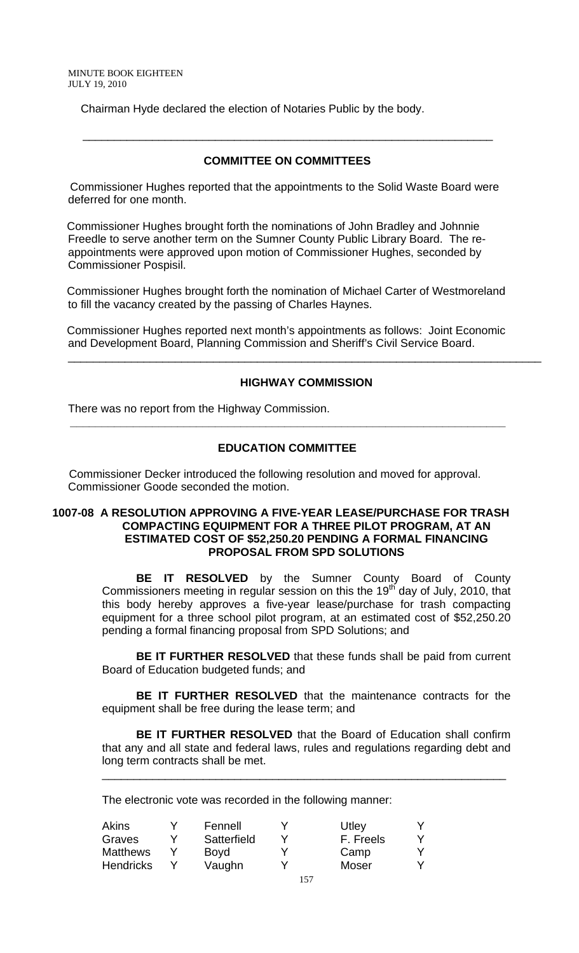Chairman Hyde declared the election of Notaries Public by the body.

# **COMMITTEE ON COMMITTEES**

 $\frac{1}{\sqrt{1-\frac{1}{2}-\frac{1}{2}-\frac{1}{2}-\frac{1}{2}-\frac{1}{2}-\frac{1}{2}-\frac{1}{2}-\frac{1}{2}-\frac{1}{2}-\frac{1}{2}-\frac{1}{2}-\frac{1}{2}-\frac{1}{2}-\frac{1}{2}-\frac{1}{2}-\frac{1}{2}-\frac{1}{2}-\frac{1}{2}-\frac{1}{2}-\frac{1}{2}-\frac{1}{2}-\frac{1}{2}-\frac{1}{2}-\frac{1}{2}-\frac{1}{2}-\frac{1}{2}-\frac{1}{2}-\frac{1}{2}-\frac{1}{2}-\frac{1}{2}-\$ 

 Commissioner Hughes reported that the appointments to the Solid Waste Board were deferred for one month.

 Commissioner Hughes brought forth the nominations of John Bradley and Johnnie Freedle to serve another term on the Sumner County Public Library Board. The reappointments were approved upon motion of Commissioner Hughes, seconded by Commissioner Pospisil.

 Commissioner Hughes brought forth the nomination of Michael Carter of Westmoreland to fill the vacancy created by the passing of Charles Haynes.

 Commissioner Hughes reported next month's appointments as follows: Joint Economic and Development Board, Planning Commission and Sheriff's Civil Service Board.

#### **HIGHWAY COMMISSION**

\_\_\_\_\_\_\_\_\_\_\_\_\_\_\_\_\_\_\_\_\_\_\_\_\_\_\_\_\_\_\_\_\_\_\_\_\_\_\_\_\_\_\_\_\_\_\_\_\_\_\_\_\_\_\_\_\_\_\_\_\_\_\_\_\_\_\_\_\_\_\_\_\_\_\_

There was no report from the Highway Commission.

# **EDUCATION COMMITTEE**

 **\_\_\_\_\_\_\_\_\_\_\_\_\_\_\_\_\_\_\_\_\_\_\_\_\_\_\_\_\_\_\_\_\_\_\_\_\_\_\_\_\_\_\_\_\_\_\_\_\_\_\_\_\_\_\_\_\_\_\_\_\_\_\_\_\_\_\_\_\_** 

 Commissioner Decker introduced the following resolution and moved for approval. Commissioner Goode seconded the motion.

### **1007-08 A RESOLUTION APPROVING A FIVE-YEAR LEASE/PURCHASE FOR TRASH COMPACTING EQUIPMENT FOR A THREE PILOT PROGRAM, AT AN ESTIMATED COST OF \$52,250.20 PENDING A FORMAL FINANCING PROPOSAL FROM SPD SOLUTIONS**

**BE IT RESOLVED** by the Sumner County Board of County Commissioners meeting in regular session on this the 19<sup>th</sup> day of July, 2010, that this body hereby approves a five-year lease/purchase for trash compacting equipment for a three school pilot program, at an estimated cost of \$52,250.20 pending a formal financing proposal from SPD Solutions; and

**BE IT FURTHER RESOLVED** that these funds shall be paid from current Board of Education budgeted funds; and

 **BE IT FURTHER RESOLVED** that the maintenance contracts for the equipment shall be free during the lease term; and

 **BE IT FURTHER RESOLVED** that the Board of Education shall confirm that any and all state and federal laws, rules and regulations regarding debt and long term contracts shall be met.

\_\_\_\_\_\_\_\_\_\_\_\_\_\_\_\_\_\_\_\_\_\_\_\_\_\_\_\_\_\_\_\_\_\_\_\_\_\_\_\_\_\_\_\_\_\_\_\_\_\_\_\_\_\_\_\_\_\_\_\_\_\_\_\_

The electronic vote was recorded in the following manner:

| Akins            | Fennell     |   | Utley     |  |
|------------------|-------------|---|-----------|--|
| Graves           | Satterfield |   | F. Freels |  |
| <b>Matthews</b>  | Boyd        | v | Camp      |  |
| <b>Hendricks</b> | Vaughn      | v | Moser     |  |
|                  |             |   |           |  |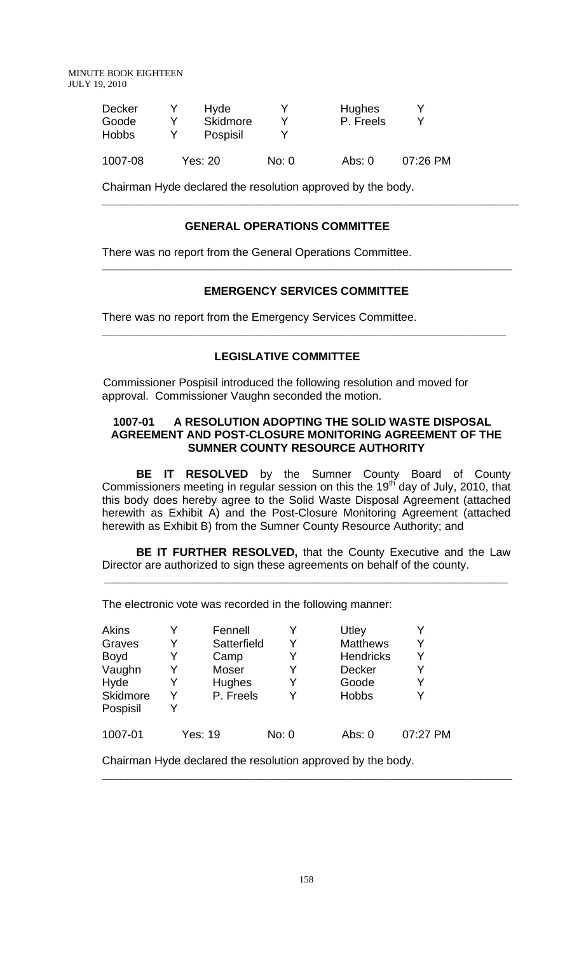MINUTE BOOK EIGHTEEN JULY 19, 2010

| Decker<br>Goode<br><b>Hobbs</b> | Hyde<br><b>Skidmore</b><br>Pospisil |       | Hughes<br>P. Freels |          |
|---------------------------------|-------------------------------------|-------|---------------------|----------|
| 1007-08                         | Yes: 20                             | No: 0 | Abs: $0$            | 07:26 PM |

Chairman Hyde declared the resolution approved by the body.

# **GENERAL OPERATIONS COMMITTEE**

There was no report from the General Operations Committee.

# **EMERGENCY SERVICES COMMITTEE**

**\_\_\_\_\_\_\_\_\_\_\_\_\_\_\_\_\_\_\_\_\_\_\_\_\_\_\_\_\_\_\_\_\_\_\_\_\_\_\_\_\_\_\_\_\_\_\_\_\_\_\_\_\_\_\_\_\_\_\_\_\_\_\_\_** 

**\_\_\_\_\_\_\_\_\_\_\_\_\_\_\_\_\_\_\_\_\_\_\_\_\_\_\_\_\_\_\_\_\_\_\_\_\_\_\_\_\_\_\_\_\_\_\_\_\_\_\_\_\_\_\_\_\_\_\_\_\_\_\_\_\_** 

**\_\_\_\_\_\_\_\_\_\_\_\_\_\_\_\_\_\_\_\_\_\_\_\_\_\_\_\_\_\_\_\_\_\_\_\_\_\_\_\_\_\_\_\_\_\_\_\_\_\_\_\_\_\_\_\_\_\_\_\_\_\_\_\_\_\_** 

There was no report from the Emergency Services Committee.

# **LEGISLATIVE COMMITTEE**

 Commissioner Pospisil introduced the following resolution and moved for approval. Commissioner Vaughn seconded the motion.

### **1007-01 A RESOLUTION ADOPTING THE SOLID WASTE DISPOSAL AGREEMENT AND POST-CLOSURE MONITORING AGREEMENT OF THE SUMNER COUNTY RESOURCE AUTHORITY**

**BE IT RESOLVED** by the Sumner County Board of County Commissioners meeting in regular session on this the 19<sup>th</sup> day of July, 2010, that this body does hereby agree to the Solid Waste Disposal Agreement (attached herewith as Exhibit A) and the Post-Closure Monitoring Agreement (attached herewith as Exhibit B) from the Sumner County Resource Authority; and

**BE IT FURTHER RESOLVED,** that the County Executive and the Law Director are authorized to sign these agreements on behalf of the county.

**\_\_\_\_\_\_\_\_\_\_\_\_\_\_\_\_\_\_\_\_\_\_\_\_\_\_\_\_\_\_\_\_\_\_\_\_\_\_\_\_\_\_\_\_\_\_\_\_\_\_\_\_\_\_\_\_\_\_\_\_\_\_\_\_** 

The electronic vote was recorded in the following manner:

| <b>Akins</b><br>Graves<br><b>Boyd</b><br>Vaughn<br>Hyde<br>Skidmore | Fennell<br>Satterfield<br>Camp<br>Moser<br>Hughes<br>P. Freels | Y<br>Y<br>Y<br>Y<br>v | Utley<br><b>Matthews</b><br><b>Hendricks</b><br><b>Decker</b><br>Goode<br><b>Hobbs</b> | Y        |
|---------------------------------------------------------------------|----------------------------------------------------------------|-----------------------|----------------------------------------------------------------------------------------|----------|
| Pospisil<br>1007-01                                                 | Yes: 19                                                        | No: 0                 | Abs: 0                                                                                 | 07:27 PM |
|                                                                     |                                                                |                       |                                                                                        |          |

Chairman Hyde declared the resolution approved by the body.

\_\_\_\_\_\_\_\_\_\_\_\_\_\_\_\_\_\_\_\_\_\_\_\_\_\_\_\_\_\_\_\_\_\_\_\_\_\_\_\_\_\_\_\_\_\_\_\_\_\_\_\_\_\_\_\_\_\_\_\_\_\_\_\_\_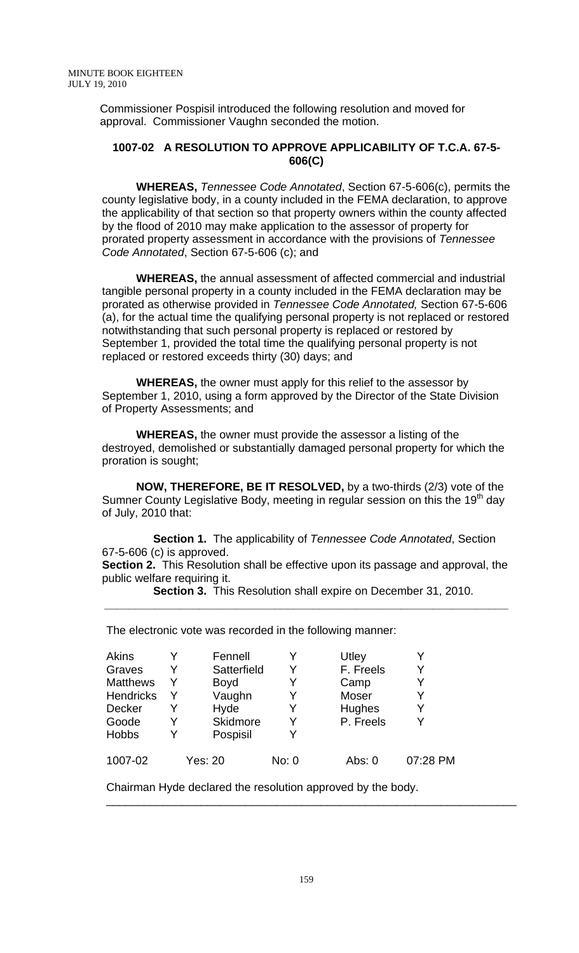Commissioner Pospisil introduced the following resolution and moved for approval. Commissioner Vaughn seconded the motion.

# **1007-02 A RESOLUTION TO APPROVE APPLICABILITY OF T.C.A. 67-5- 606(C)**

**WHEREAS,** *Tennessee Code Annotated*, Section 67-5-606(c), permits the county legislative body, in a county included in the FEMA declaration, to approve the applicability of that section so that property owners within the county affected by the flood of 2010 may make application to the assessor of property for prorated property assessment in accordance with the provisions of *Tennessee Code Annotated*, Section 67-5-606 (c); and

**WHEREAS,** the annual assessment of affected commercial and industrial tangible personal property in a county included in the FEMA declaration may be prorated as otherwise provided in *Tennessee Code Annotated,* Section 67-5-606 (a), for the actual time the qualifying personal property is not replaced or restored notwithstanding that such personal property is replaced or restored by September 1, provided the total time the qualifying personal property is not replaced or restored exceeds thirty (30) days; and

**WHEREAS,** the owner must apply for this relief to the assessor by September 1, 2010, using a form approved by the Director of the State Division of Property Assessments; and

**WHEREAS,** the owner must provide the assessor a listing of the destroyed, demolished or substantially damaged personal property for which the proration is sought;

**NOW, THEREFORE, BE IT RESOLVED,** by a two-thirds (2/3) vote of the Sumner County Legislative Body, meeting in regular session on this the 19<sup>th</sup> day of July, 2010 that:

**Section 1.** The applicability of *Tennessee Code Annotated*, Section 67-5-606 (c) is approved. **Section 2.** This Resolution shall be effective upon its passage and approval, the

public welfare requiring it.

**Section 3.** This Resolution shall expire on December 31, 2010. **\_\_\_\_\_\_\_\_\_\_\_\_\_\_\_\_\_\_\_\_\_\_\_\_\_\_\_\_\_\_\_\_\_\_\_\_\_\_\_\_\_\_\_\_\_\_\_\_\_\_\_\_\_\_\_\_\_\_\_\_\_\_\_\_** 

The electronic vote was recorded in the following manner:

| Akins           | Y | Fennell     |       | Utley     |          |
|-----------------|---|-------------|-------|-----------|----------|
|                 |   |             |       |           |          |
| Graves          | Y | Satterfield | Y     | F. Freels |          |
| <b>Matthews</b> | Y | <b>Boyd</b> |       | Camp      |          |
| Hendricks       | Y | Vaughn      |       | Moser     |          |
| <b>Decker</b>   |   | Hyde        |       | Hughes    |          |
| Goode           |   | Skidmore    |       | P. Freels |          |
| <b>Hobbs</b>    | Y | Pospisil    |       |           |          |
| 1007-02         |   | Yes: 20     | No: 0 | Abs: 0    | 07:28 PM |

Chairman Hyde declared the resolution approved by the body.

\_\_\_\_\_\_\_\_\_\_\_\_\_\_\_\_\_\_\_\_\_\_\_\_\_\_\_\_\_\_\_\_\_\_\_\_\_\_\_\_\_\_\_\_\_\_\_\_\_\_\_\_\_\_\_\_\_\_\_\_\_\_\_\_\_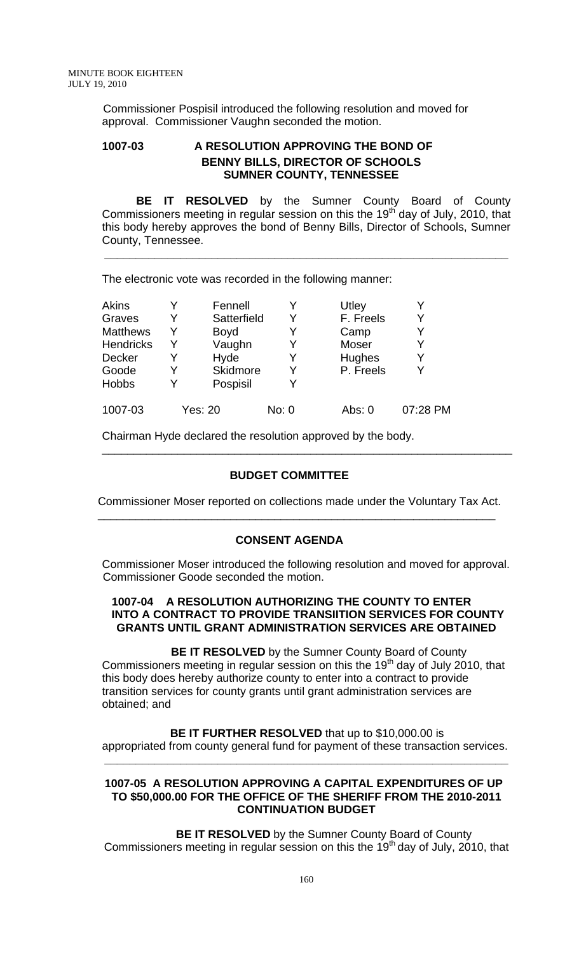Commissioner Pospisil introduced the following resolution and moved for approval. Commissioner Vaughn seconded the motion.

# **1007-03 A RESOLUTION APPROVING THE BOND OF BENNY BILLS, DIRECTOR OF SCHOOLS SUMNER COUNTY, TENNESSEE**

 **BE IT RESOLVED** by the Sumner County Board of County Commissioners meeting in regular session on this the 19<sup>th</sup> day of July, 2010, that this body hereby approves the bond of Benny Bills, Director of Schools, Sumner County, Tennessee.

**\_\_\_\_\_\_\_\_\_\_\_\_\_\_\_\_\_\_\_\_\_\_\_\_\_\_\_\_\_\_\_\_\_\_\_\_\_\_\_\_\_\_\_\_\_\_\_\_\_\_\_\_\_\_\_\_\_\_\_\_\_\_\_\_** 

The electronic vote was recorded in the following manner:

| <b>Akins</b>     |   | Fennell     |       | Utley        |          |
|------------------|---|-------------|-------|--------------|----------|
| Graves           |   | Satterfield | Y     | F. Freels    | Y        |
| <b>Matthews</b>  | Y | <b>Boyd</b> |       | Camp         |          |
| <b>Hendricks</b> |   | Vaughn      | Y     | <b>Moser</b> |          |
| <b>Decker</b>    |   | Hyde        | Y     | Hughes       | v        |
| Goode            |   | Skidmore    | Y     | P. Freels    |          |
| <b>Hobbs</b>     |   | Pospisil    | Y     |              |          |
| 1007-03          |   | Yes: 20     | No: 0 | Abs: $0$     | 07:28 PM |

Chairman Hyde declared the resolution approved by the body.

# **BUDGET COMMITTEE**

Commissioner Moser reported on collections made under the Voluntary Tax Act. \_\_\_\_\_\_\_\_\_\_\_\_\_\_\_\_\_\_\_\_\_\_\_\_\_\_\_\_\_\_\_\_\_\_\_\_\_\_\_\_\_\_\_\_\_\_\_\_\_\_\_\_\_\_\_\_\_\_\_\_\_\_\_

\_\_\_\_\_\_\_\_\_\_\_\_\_\_\_\_\_\_\_\_\_\_\_\_\_\_\_\_\_\_\_\_\_\_\_\_\_\_\_\_\_\_\_\_\_\_\_\_\_\_\_\_\_\_\_\_\_\_\_\_\_\_\_\_\_

# **CONSENT AGENDA**

Commissioner Moser introduced the following resolution and moved for approval. Commissioner Goode seconded the motion.

## **1007-04 A RESOLUTION AUTHORIZING THE COUNTY TO ENTER INTO A CONTRACT TO PROVIDE TRANSIITION SERVICES FOR COUNTY GRANTS UNTIL GRANT ADMINISTRATION SERVICES ARE OBTAINED**

**BE IT RESOLVED** by the Sumner County Board of County Commissioners meeting in regular session on this the  $19<sup>th</sup>$  day of July 2010, that this body does hereby authorize county to enter into a contract to provide transition services for county grants until grant administration services are obtained; and

**BE IT FURTHER RESOLVED** that up to \$10,000.00 is appropriated from county general fund for payment of these transaction services.

**\_\_\_\_\_\_\_\_\_\_\_\_\_\_\_\_\_\_\_\_\_\_\_\_\_\_\_\_\_\_\_\_\_\_\_\_\_\_\_\_\_\_\_\_\_\_\_\_\_\_\_\_\_\_\_\_\_\_\_\_\_\_\_\_** 

#### **1007-05 A RESOLUTION APPROVING A CAPITAL EXPENDITURES OF UP TO \$50,000.00 FOR THE OFFICE OF THE SHERIFF FROM THE 2010-2011 CONTINUATION BUDGET**

 **BE IT RESOLVED** by the Sumner County Board of County Commissioners meeting in regular session on this the  $19<sup>th</sup>$  day of July, 2010, that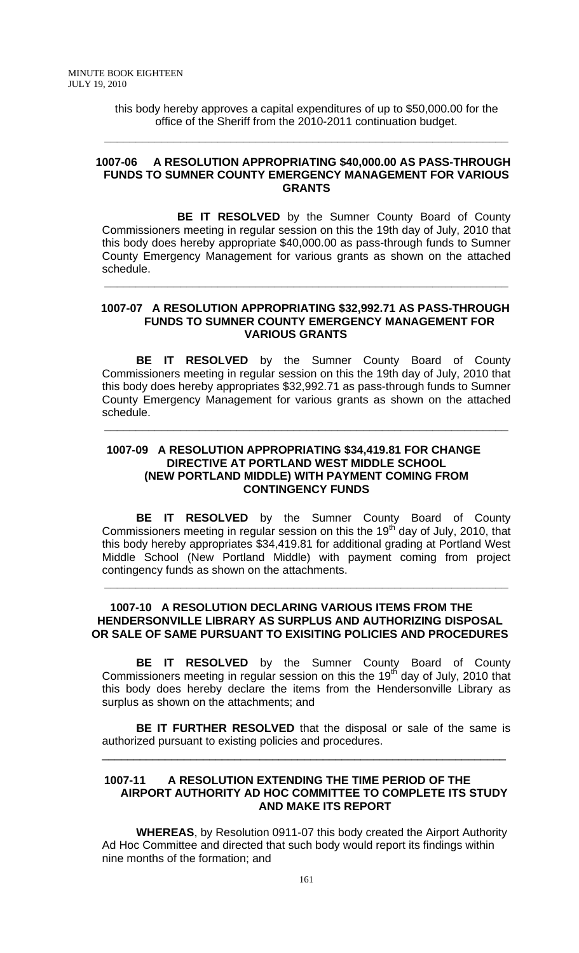this body hereby approves a capital expenditures of up to \$50,000.00 for the office of the Sheriff from the 2010-2011 continuation budget.

**\_\_\_\_\_\_\_\_\_\_\_\_\_\_\_\_\_\_\_\_\_\_\_\_\_\_\_\_\_\_\_\_\_\_\_\_\_\_\_\_\_\_\_\_\_\_\_\_\_\_\_\_\_\_\_\_\_\_\_\_\_\_\_\_** 

### **1007-06 A RESOLUTION APPROPRIATING \$40,000.00 AS PASS-THROUGH FUNDS TO SUMNER COUNTY EMERGENCY MANAGEMENT FOR VARIOUS GRANTS**

 **BE IT RESOLVED** by the Sumner County Board of County Commissioners meeting in regular session on this the 19th day of July, 2010 that this body does hereby appropriate \$40,000.00 as pass-through funds to Sumner County Emergency Management for various grants as shown on the attached schedule.

**\_\_\_\_\_\_\_\_\_\_\_\_\_\_\_\_\_\_\_\_\_\_\_\_\_\_\_\_\_\_\_\_\_\_\_\_\_\_\_\_\_\_\_\_\_\_\_\_\_\_\_\_\_\_\_\_\_\_\_\_\_\_\_\_** 

### **1007-07 A RESOLUTION APPROPRIATING \$32,992.71 AS PASS-THROUGH FUNDS TO SUMNER COUNTY EMERGENCY MANAGEMENT FOR VARIOUS GRANTS**

 **BE IT RESOLVED** by the Sumner County Board of County Commissioners meeting in regular session on this the 19th day of July, 2010 that this body does hereby appropriates \$32,992.71 as pass-through funds to Sumner County Emergency Management for various grants as shown on the attached schedule.

**\_\_\_\_\_\_\_\_\_\_\_\_\_\_\_\_\_\_\_\_\_\_\_\_\_\_\_\_\_\_\_\_\_\_\_\_\_\_\_\_\_\_\_\_\_\_\_\_\_\_\_\_\_\_\_\_\_\_\_\_\_\_\_\_** 

## **1007-09 A RESOLUTION APPROPRIATING \$34,419.81 FOR CHANGE DIRECTIVE AT PORTLAND WEST MIDDLE SCHOOL (NEW PORTLAND MIDDLE) WITH PAYMENT COMING FROM CONTINGENCY FUNDS**

**BE IT RESOLVED** by the Sumner County Board of County Commissioners meeting in regular session on this the 19<sup>th</sup> day of July, 2010, that this body hereby appropriates \$34,419.81 for additional grading at Portland West Middle School (New Portland Middle) with payment coming from project contingency funds as shown on the attachments.

**\_\_\_\_\_\_\_\_\_\_\_\_\_\_\_\_\_\_\_\_\_\_\_\_\_\_\_\_\_\_\_\_\_\_\_\_\_\_\_\_\_\_\_\_\_\_\_\_\_\_\_\_\_\_\_\_\_\_\_\_\_\_\_\_** 

# **1007-10 A RESOLUTION DECLARING VARIOUS ITEMS FROM THE HENDERSONVILLE LIBRARY AS SURPLUS AND AUTHORIZING DISPOSAL OR SALE OF SAME PURSUANT TO EXISITING POLICIES AND PROCEDURES**

**BE IT RESOLVED** by the Sumner County Board of County Commissioners meeting in regular session on this the 19<sup>th</sup> day of July, 2010 that this body does hereby declare the items from the Hendersonville Library as surplus as shown on the attachments; and

**BE IT FURTHER RESOLVED** that the disposal or sale of the same is authorized pursuant to existing policies and procedures.

\_\_\_\_\_\_\_\_\_\_\_\_\_\_\_\_\_\_\_\_\_\_\_\_\_\_\_\_\_\_\_\_\_\_\_\_\_\_\_\_\_\_\_\_\_\_\_\_\_\_\_\_\_\_\_\_\_\_\_\_\_\_\_\_

### **1007-11 A RESOLUTION EXTENDING THE TIME PERIOD OF THE AIRPORT AUTHORITY AD HOC COMMITTEE TO COMPLETE ITS STUDY AND MAKE ITS REPORT**

**WHEREAS**, by Resolution 0911-07 this body created the Airport Authority Ad Hoc Committee and directed that such body would report its findings within nine months of the formation; and